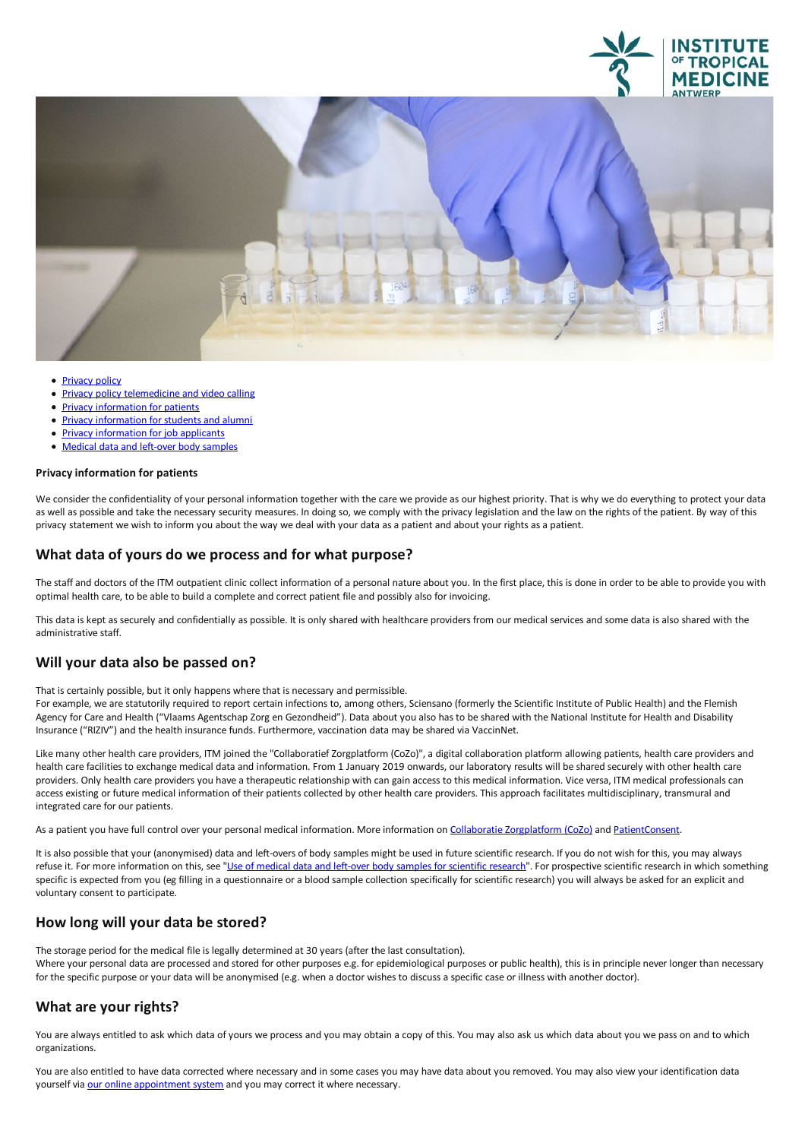



- [Privacy](file:///E/privacy) policy
- Privacy policy [telemedicine](file:///E/privacy-policy-telemedicine-and-video-calling) and video calling
- Privacy [information](file:///E/privacy-information-for-patients) for patients
- Privacy information for students and alumni
- 
- **Privacy [information](file:///E/informations-de-confidentialite-pour-postulants) for job applicants**<br> **Medical data and left-over body samples**

#### **Privacyinformation for patients**

We consider the confidentiality of your personal information together with the care we provide as our highest priority. That is why we do everything to protect your data as well as possible and take the necessary security measures. In doing so, we comply with the privacy legislation and the law on the rights of the patient. By way of this privacy statement we wish to inform you about the way we deal with your data as a patient and about your rights as a patient.

## **What data ofyours do we process and for what purpose?**

The staff and doctors of the ITM outpatient clinic collect information of a personal nature about you. In the first place, this is done in order to be able to provide you with optimal health care, to be able to build acomplete and correct patient file and possibly also for invoicing.

This data is kept as securely and confidentially as possible. It is only shared with healthcare providers from our medical services and some data is also shared with the administrative staff.

### **Will your data also be passed on?**

That is certainly possible, but it only happens where that is necessary and permissible.

For example, we are statutorily required to report certain infections to, among others, Sciensano (formerly the Scientific Institute of Public Health) and the Flemish Agency for Care and Health ("Vlaams Agentschap Zorg en Gezondheid"). Data about you also has to be shared with the National Institute for Health and Disability Insurance ("RIZIV") and the health insurance funds. Furthermore, vaccination data may be shared via VaccinNet.

Like many other health care providers, ITM joined the "Collaboratief Zorgplatform (CoZo)", a digital collaboration platform allowing patients, health care providers and health care facilities to exchange medical data and information. From 1 January 2019 onwards, our laboratory results will be shared securely with other health care providers. Only health care providers you have a therapeutic relationship with can gain access to this medical information. Vice versa, ITM medical professionals can access existing or future medical information of their patients collected by other health care providers. This approach facilitates multidisciplinary, transmural and integrated care for our patients.

As a patient you have full control over your personal medical information. More information on Collaboratie [Zorgplatform](https://www.cozo.be/) (CoZo) and [PatientConsent](http://www.patientconsent.be).

It is also possible that your (anonymised) data and left-overs of body samples might be used in future scientific research. If you do not wish for this, you may always refuse it. For more information on this, see "Use of medical data and left-over body samples for scientific research". For prospective scientific research in which something specific is expected from you (eg filling in a questionnaire or a blood sample collection specifically for scientific research) you will always be asked for an explicit and voluntary consent to participate.

# **How long will your data be stored?**

The storage period for the medical file is legally determined at 30 years (after the last consultation).<br>Where your personal data are processed and stored for other purposes e.g. for epidemiological purposes or public heal for the specific purpose or your data will be anonymised (e.g. when a doctor wishes to discuss a specific case or illness with another doctor).

# **What are your rights?**

You are always entitled to ask which data of yours we process and you may obtain a copy of this. You may also ask us which data about you we pass on and to which organizations.

You are also entitled to have data corrected where necessary and in some cases you may have data about you removed. You may also view your identification data yourself via our online [appointment](https://secure.introlution.be/mijnonlineagenda/(S(c4p4lqg4400ydfndscctzn2g))/default.aspx?itg.be) system and you may correct it where necessary.